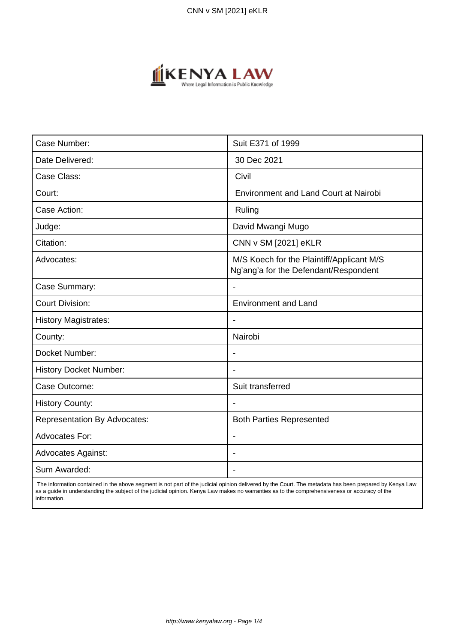

| Case Number:                        | Suit E371 of 1999                                                                  |
|-------------------------------------|------------------------------------------------------------------------------------|
| Date Delivered:                     | 30 Dec 2021                                                                        |
| Case Class:                         | Civil                                                                              |
| Court:                              | Environment and Land Court at Nairobi                                              |
| Case Action:                        | Ruling                                                                             |
| Judge:                              | David Mwangi Mugo                                                                  |
| Citation:                           | CNN v SM [2021] eKLR                                                               |
| Advocates:                          | M/S Koech for the Plaintiff/Applicant M/S<br>Ng'ang'a for the Defendant/Respondent |
| Case Summary:                       |                                                                                    |
| <b>Court Division:</b>              | <b>Environment and Land</b>                                                        |
| <b>History Magistrates:</b>         | $\blacksquare$                                                                     |
| County:                             | Nairobi                                                                            |
| Docket Number:                      |                                                                                    |
| <b>History Docket Number:</b>       |                                                                                    |
| Case Outcome:                       | Suit transferred                                                                   |
| <b>History County:</b>              | $\blacksquare$                                                                     |
| <b>Representation By Advocates:</b> | <b>Both Parties Represented</b>                                                    |
| <b>Advocates For:</b>               | $\overline{\phantom{0}}$                                                           |
| <b>Advocates Against:</b>           | $\overline{\phantom{0}}$                                                           |
| Sum Awarded:                        |                                                                                    |

 The information contained in the above segment is not part of the judicial opinion delivered by the Court. The metadata has been prepared by Kenya Law as a guide in understanding the subject of the judicial opinion. Kenya Law makes no warranties as to the comprehensiveness or accuracy of the information.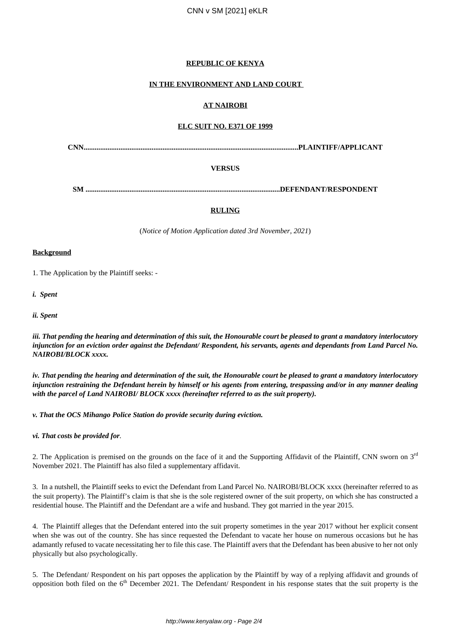## **REPUBLIC OF KENYA**

## **IN THE ENVIRONMENT AND LAND COURT**

# **AT NAIROBI**

### **ELC SUIT NO. E371 OF 1999**

**CNN.....................................................................................................................PLAINTIFF/APPLICANT**

### **VERSUS**

**SM ..........................................................................................................DEFENDANT/RESPONDENT**

### **RULING**

(*Notice of Motion Application dated 3rd November, 2021*)

#### **Background**

1. The Application by the Plaintiff seeks: -

*i. Spent*

*ii. Spent*

*iii. That pending the hearing and determination of this suit, the Honourable court be pleased to grant a mandatory interlocutory injunction for an eviction order against the Defendant/ Respondent, his servants, agents and dependants from Land Parcel No. NAIROBI/BLOCK xxxx.*

*iv. That pending the hearing and determination of the suit, the Honourable court be pleased to grant a mandatory interlocutory injunction restraining the Defendant herein by himself or his agents from entering, trespassing and/or in any manner dealing with the parcel of Land NAIROBI/ BLOCK xxxx (hereinafter referred to as the suit property).*

*v. That the OCS Mihango Police Station do provide security during eviction.*

#### *vi. That costs be provided for.*

2. The Application is premised on the grounds on the face of it and the Supporting Affidavit of the Plaintiff, CNN sworn on  $3<sup>rd</sup>$ November 2021. The Plaintiff has also filed a supplementary affidavit.

3. In a nutshell, the Plaintiff seeks to evict the Defendant from Land Parcel No. NAIROBI/BLOCK xxxx (hereinafter referred to as the suit property). The Plaintiff's claim is that she is the sole registered owner of the suit property, on which she has constructed a residential house. The Plaintiff and the Defendant are a wife and husband. They got married in the year 2015.

4. The Plaintiff alleges that the Defendant entered into the suit property sometimes in the year 2017 without her explicit consent when she was out of the country. She has since requested the Defendant to vacate her house on numerous occasions but he has adamantly refused to vacate necessitating her to file this case. The Plaintiff avers that the Defendant has been abusive to her not only physically but also psychologically.

5. The Defendant/ Respondent on his part opposes the application by the Plaintiff by way of a replying affidavit and grounds of opposition both filed on the  $6<sup>th</sup>$  December 2021. The Defendant/ Respondent in his response states that the suit property is the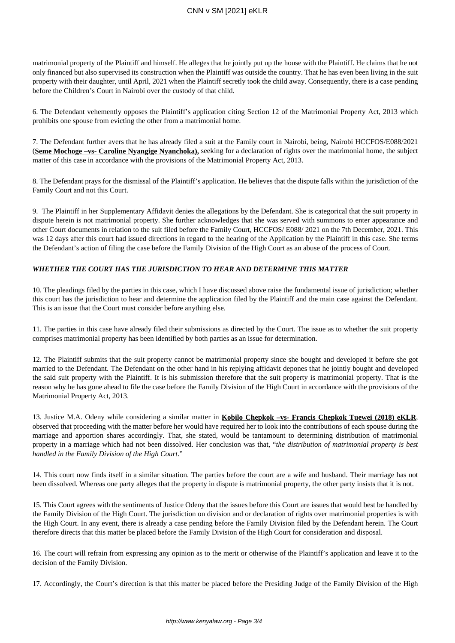matrimonial property of the Plaintiff and himself. He alleges that he jointly put up the house with the Plaintiff. He claims that he not only financed but also supervised its construction when the Plaintiff was outside the country. That he has even been living in the suit property with their daughter, until April, 2021 when the Plaintiff secretly took the child away. Consequently, there is a case pending before the Children's Court in Nairobi over the custody of that child.

6. The Defendant vehemently opposes the Plaintiff's application citing Section 12 of the Matrimonial Property Act, 2013 which prohibits one spouse from evicting the other from a matrimonial home.

7. The Defendant further avers that he has already filed a suit at the Family court in Nairobi, being, Nairobi HCCFOS/E088/2021 (**Seme Mochoge –vs- Caroline Nyangige Nyanchoka),** seeking for a declaration of rights over the matrimonial home, the subject matter of this case in accordance with the provisions of the Matrimonial Property Act, 2013.

8. The Defendant prays for the dismissal of the Plaintiff's application. He believes that the dispute falls within the jurisdiction of the Family Court and not this Court.

9. The Plaintiff in her Supplementary Affidavit denies the allegations by the Defendant. She is categorical that the suit property in dispute herein is not matrimonial property. She further acknowledges that she was served with summons to enter appearance and other Court documents in relation to the suit filed before the Family Court, HCCFOS/ E088/ 2021 on the 7th December, 2021. This was 12 days after this court had issued directions in regard to the hearing of the Application by the Plaintiff in this case. She terms the Defendant's action of filing the case before the Family Division of the High Court as an abuse of the process of Court.

### *WHETHER THE COURT HAS THE JURISDICTION TO HEAR AND DETERMINE THIS MATTER*

10. The pleadings filed by the parties in this case, which I have discussed above raise the fundamental issue of jurisdiction; whether this court has the jurisdiction to hear and determine the application filed by the Plaintiff and the main case against the Defendant. This is an issue that the Court must consider before anything else.

11. The parties in this case have already filed their submissions as directed by the Court. The issue as to whether the suit property comprises matrimonial property has been identified by both parties as an issue for determination.

12. The Plaintiff submits that the suit property cannot be matrimonial property since she bought and developed it before she got married to the Defendant. The Defendant on the other hand in his replying affidavit depones that he jointly bought and developed the said suit property with the Plaintiff. It is his submission therefore that the suit property is matrimonial property. That is the reason why he has gone ahead to file the case before the Family Division of the High Court in accordance with the provisions of the Matrimonial Property Act, 2013.

13. Justice M.A. Odeny while considering a similar matter in **Kobilo Chepkok –vs- Francis Chepkok Tuewei (2018) eKLR**, observed that proceeding with the matter before her would have required her to look into the contributions of each spouse during the marriage and apportion shares accordingly. That, she stated, would be tantamount to determining distribution of matrimonial property in a marriage which had not been dissolved. Her conclusion was that, "*the distribution of matrimonial property is best handled in the Family Division of the High Court*."

14. This court now finds itself in a similar situation. The parties before the court are a wife and husband. Their marriage has not been dissolved. Whereas one party alleges that the property in dispute is matrimonial property, the other party insists that it is not.

15. This Court agrees with the sentiments of Justice Odeny that the issues before this Court are issues that would best be handled by the Family Division of the High Court. The jurisdiction on division and or declaration of rights over matrimonial properties is with the High Court. In any event, there is already a case pending before the Family Division filed by the Defendant herein. The Court therefore directs that this matter be placed before the Family Division of the High Court for consideration and disposal.

16. The court will refrain from expressing any opinion as to the merit or otherwise of the Plaintiff's application and leave it to the decision of the Family Division.

17. Accordingly, the Court's direction is that this matter be placed before the Presiding Judge of the Family Division of the High